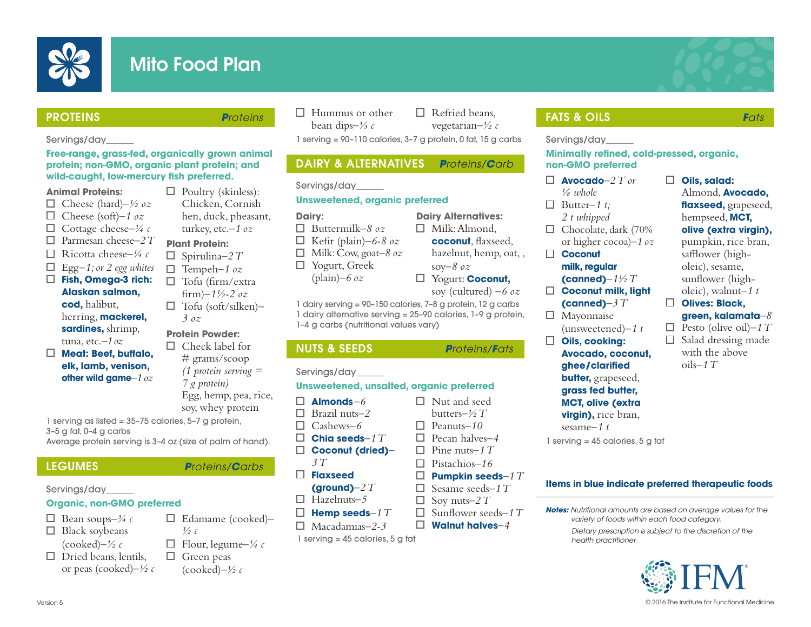

# Mito Food Plan

**Oils, salad:** 

Almond, **Avocado, faxseed,** grapeseed, hempseed, **MCT, olive (extra virgin),**  pumpkin, rice bran, safflower (higholeic), sesame, sunfower (higholeic), walnut*–1 t* **Olives: Black, green, kalamata***–8*  $\Box$  Pesto (olive oil)–1 T  $\Box$  Salad dressing made with the above oils*–1 T*

## **PROTEINS Proteins**

## Servings/day\_\_\_\_\_\_

## **Free-range, grass-fed, organically grown animal protein; non-GMO, organic plant protein; and wild-caught, low-mercury fsh preferred.**

## **Animal Proteins:**

- Cheese (hard)*–½ oz*
- Cheese (soft)*–1 oz*
- Cottage cheese*–¼ c*
- Parmesan cheese*–2 T*
- Ricotta cheese*–¼ c*
- Egg*–1; or 2 egg whites*
- **Fish, Omega-3 rich:**
- **Alaskan salmon, cod,** halibut, herring, **mackerel, sardines,** shrimp,
- tuna, etc.*–1 oz* **Meat: Beef, bufalo, elk, lamb, venison, other wild game***–1 oz*

 $\Box$  Poultry (skinless): Chicken, Cornish hen, duck, pheasant, turkey, etc.*–1 oz*

## **Plant Protein:**

- $\Box$  Spirulina–2 T
- $\Box$ Tempeh*–1 oz*  $\Box$ Tofu (frm/extra
- frm)*–1½-2 oz* Tofu (soft/silken)*–*
- *3 oz*

## **Protein Powder:**

 $\Box$  Check label for # grams/scoop *(1 protein serving = 7 g protein)* Egg, hemp, pea, rice, soy, whey protein

Edamame (cooked)*–* 

Flour, legume*–¼ c*

*½ c*

1 serving as listed = 35–75 calories, 5–7 g protein, 3–5 g fat, 0–4 g carbs

Average protein serving is 3–4 oz (size of palm of hand).

## LEGUMES **P**roteins/**C**arbs

## Servings/day\_\_\_\_\_\_

## **Organic, non-GMO preferred**

- Bean soups*–¾ c*
- $\Box$  Black soybeans
- (cooked)*–½ c*  $\Box$  Dried beans, lentils,
	- or peas (cooked)*–½ c*  $\Box$  Green peas (cooked)*–½ c*

 $\Box$  Hummus or other bean dips*–⅓ c*

□ Refried beans, vegetarian*–½ c*

1 serving = 90–110 calories, 3–7 g protein, 0 fat, 15 g carbs

## DAIRY & ALTERNATIVES **P**roteins/**C**arb

## Servings/day\_\_\_\_\_\_

## **Unsweetened, organic preferred**

## **Dairy:**

- Buttermilk*–8 oz*
- П Kefr (plain)*–6-8 oz*
- Milk: Cow, goat*–8 oz* 0
- Yogurt, Greek (plain)*–6 oz*
- **coconut**, faxseed, hazelnut, hemp, oat, , soy*–8 oz*

**Dairy Alternatives:**  $\Box$  Milk: Almond,

soy (cultured) *–6 oz*

1 dairy serving = 90–150 calories, 7–8 g protein, 12 g carbs 1 dairy alternative serving = 25–90 calories, 1–9 g protein, 1–4 g carbs (nutritional values vary)

## Servings/day\_\_\_\_\_\_

## **Unsweetened, unsalted, organic preferred**

- **Almonds***–6* П.
- Brazil nuts*–2*
- $\Box$ Cashews*–6*
- **Chia seeds***–1 T* **Coconut (dried)***–*
	- *3 T*
- **Flaxseed**
- 
- Hazelnuts*–5*  $\Box$
- П. **Hemp seeds***–1 T*
- $\Box$ Macadamias*–2-3*
- 1 serving = 45 calories, 5 g fat

## **FATS & OILS Fats**

## Servings/day\_\_\_\_\_\_

## **Minimally refned, cold-pressed, organic, non-GMO preferred**

- **Avocado***–2 T or ⅛ whole*
- $\Box$  Butter-1 t;
- *2 t whipped*
- $\Box$  Chocolate, dark (70% or higher cocoa)–*1 oz*

## **Coconut milk, regular**

- **(canned)***–1½ T*
- **Coconut milk, light**  □. **(canned)***–3 T*
- $\Box$  Mayonnaise
- (unsweetened)*–1 t*
- $\Box$ **Oils, cooking: Avocado, coconut, ghee/clarifed butter,** grapeseed, **grass fed butter, MCT, olive (extra**

**virgin),** rice bran, sesame*–1 t*

1 serving = 45 calories, 5 g fat

## **Items in blue indicate preferred therapeutic foods**

0

**Notes:** Nutritional amounts are based on average values for the variety of foods within each food category.

Dietary prescription is subject to the discretion of the health practitioner.



Yogurt: **Coconut,**

## NUTS & SEEDS **P**roteins/**F**ats

## Version 5

Nut and seed  $\Box$  Pine nuts–1  $T$ 

 $\Box$ 

- 
- 
- **(ground)***–2 T*
- 
- -

- 
- 

butters*–½ T* Peanuts*–10* Pecan halves*–4*

- П. Pistachios*–16* □ **Pumpkin seeds***–1 T*
- Sesame seeds*–1 T*

**Walnut halves***–4*

- $\Box$ Soy nuts*–2 T*
- Sunfower seeds*–1 T*